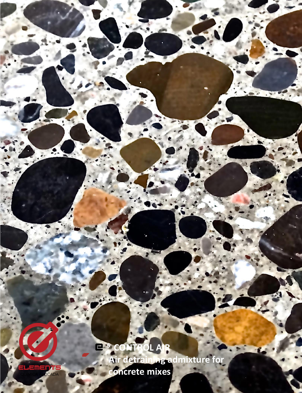**<sup>5</sup>CONTROL AIR Air detraining admixture for concrete mixes**

**<sup>5</sup> CONTROL AIR**

m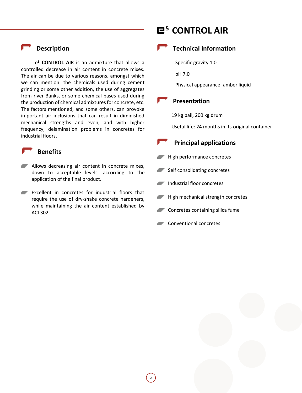### **Description**

**e <sup>5</sup> CONTROL AIR** is an admixture that allows a controlled decrease in air content in concrete mixes. The air can be due to various reasons, amongst which we can mention: the chemicals used during cement grinding or some other addition, the use of aggregates from river Banks, or some chemical bases used during the production of chemical admixtures for concrete, etc. The factors mentioned, and some others, can provoke important air inclusions that can result in diminished mechanical strengths and even, and with higher frequency, delamination problems in concretes for industrial floors.

#### **Benefits**

- **Allows decreasing air content in concrete mixes,** down to acceptable levels, according to the application of the final product.
- **Excellent in concretes for industrial floors that** require the use of dry-shake concrete hardeners, while maintaining the air content established by ACI 302.

# **<sup>5</sup> CONTROL AIR**

### **Technical information**

Specific gravity 1.0

pH 7.0

Physical appearance: amber liquid

#### **Presentation**

19 kg pail, 200 kg drum

Useful life: 24 months in its original container

### **Principal applications**

- High performance concretes
- Self consolidating concretes
- Industrial floor concretes
- High mechanical strength concretes
- **Concretes containing silica fume**
- **Conventional concretes**

2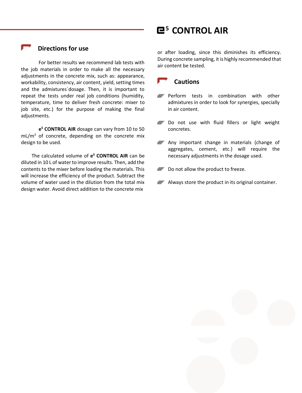### **Directions for use**

For better results we recommend lab tests with the job materials in order to make all the necessary adjustments in the concrete mix, such as: appearance, workability, consistency, air content, yield, setting times and the admixtures´dosage. Then, it is important to repeat the tests under real job conditions (humidity, temperature, time to deliver fresh concrete: mixer to job site, etc.) for the purpose of making the final adjustments.

**e <sup>5</sup> CONTROL AIR** dosage can vary from 10 to 50  $mL/m<sup>3</sup>$  of concrete, depending on the concrete mix design to be used.

The calculated volume of **e <sup>5</sup> CONTROL AIR** can be diluted in 10 L of water to improve results. Then, add the contents to the mixer before loading the materials. This will increase the efficiency of the product. Subtract the volume of water used in the dilution from the total mix design water. Avoid direct addition to the concrete mix

## **<sup>5</sup> CONTROL AIR**

or after loading, since this diminishes its efficiency. During concrete sampling, it is highly recommended that air content be tested.

### **Cautions**

- **Perform tests in combination with other** admixtures in order to look for synergies, specially in air content.
- Do not use with fluid fillers or light weight concretes.
- Any important change in materials (change of aggregates, cement, etc.) will require the necessary adjustments in the dosage used.
- Do not allow the product to freeze.
- **Always store the product in its original container.**